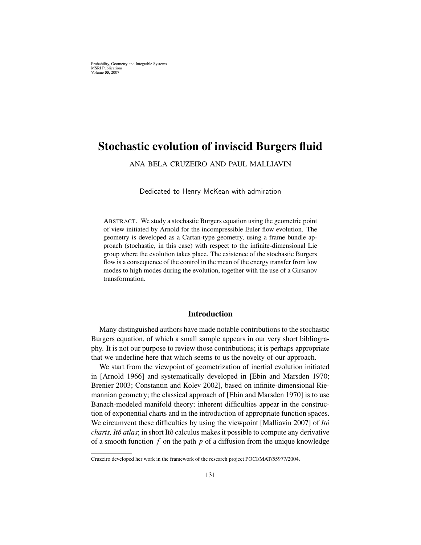Probability, Geometry and Integrable Systems MSRI Publications Volume 55, 2007

# Stochastic evolution of inviscid Burgers fluid

ANA BELA CRUZEIRO AND PAUL MALLIAVIN

Dedicated to Henry McKean with admiration

ABSTRACT. We study a stochastic Burgers equation using the geometric point of view initiated by Arnold for the incompressible Euler flow evolution. The geometry is developed as a Cartan-type geometry, using a frame bundle approach (stochastic, in this case) with respect to the infinite-dimensional Lie group where the evolution takes place. The existence of the stochastic Burgers flow is a consequence of the control in the mean of the energy transfer from low modes to high modes during the evolution, together with the use of a Girsanov transformation.

#### Introduction

Many distinguished authors have made notable contributions to the stochastic Burgers equation, of which a small sample appears in our very short bibliography. It is not our purpose to review those contributions; it is perhaps appropriate that we underline here that which seems to us the novelty of our approach.

We start from the viewpoint of geometrization of inertial evolution initiated in [Arnold 1966] and systematically developed in [Ebin and Marsden 1970; Brenier 2003; Constantin and Kolev 2002], based on infinite-dimensional Riemannian geometry; the classical approach of [Ebin and Marsden 1970] is to use Banach-modeled manifold theory; inherent difficulties appear in the construction of exponential charts and in the introduction of appropriate function spaces. We circumvent these difficulties by using the viewpoint [Malliavin 2007] of *Itô charts, Itô atlas*; in short Itô calculus makes it possible to compute any derivative of a smooth function f on the path p of a diffusion from the unique knowledge

Cruzeiro developed her work in the framework of the research project POCI/MAT/55977/2004.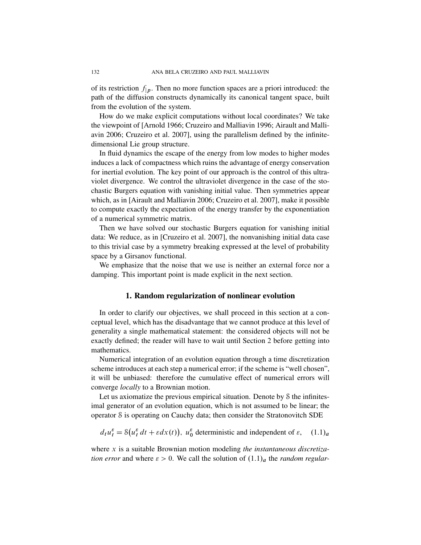of its restriction  $f_{p}$ . Then no more function spaces are a priori introduced: the path of the diffusion constructs dynamically its canonical tangent space, built from the evolution of the system.

How do we make explicit computations without local coordinates? We take the viewpoint of [Arnold 1966; Cruzeiro and Malliavin 1996; Airault and Malliavin 2006; Cruzeiro et al. 2007], using the parallelism defined by the infinitedimensional Lie group structure.

In fluid dynamics the escape of the energy from low modes to higher modes induces a lack of compactness which ruins the advantage of energy conservation for inertial evolution. The key point of our approach is the control of this ultraviolet divergence. We control the ultraviolet divergence in the case of the stochastic Burgers equation with vanishing initial value. Then symmetries appear which, as in [Airault and Malliavin 2006; Cruzeiro et al. 2007], make it possible to compute exactly the expectation of the energy transfer by the exponentiation of a numerical symmetric matrix.

Then we have solved our stochastic Burgers equation for vanishing initial data: We reduce, as in [Cruzeiro et al. 2007], the nonvanishing initial data case to this trivial case by a symmetry breaking expressed at the level of probability space by a Girsanov functional.

We emphasize that the noise that we use is neither an external force nor a damping. This important point is made explicit in the next section.

#### 1. Random regularization of nonlinear evolution

In order to clarify our objectives, we shall proceed in this section at a conceptual level, which has the disadvantage that we cannot produce at this level of generality a single mathematical statement: the considered objects will not be exactly defined; the reader will have to wait until Section 2 before getting into mathematics.

Numerical integration of an evolution equation through a time discretization scheme introduces at each step a numerical error; if the scheme is "well chosen", it will be unbiased: therefore the cumulative effect of numerical errors will converge *locally* to a Brownian motion.

Let us axiomatize the previous empirical situation. Denote by S the infinitesimal generator of an evolution equation, which is not assumed to be linear; the operator S is operating on Cauchy data; then consider the Stratonovitch SDE

$$
d_t u_t^{\varepsilon} = \mathcal{S}(u_t^{\varepsilon} dt + \varepsilon dx(t)), u_0^{\varepsilon} \text{ deterministic and independent of } \varepsilon, \quad (1.1)_a
$$

where x is a suitable Brownian motion modeling *the instantaneous discretization error* and where  $\varepsilon > 0$ . We call the solution of  $(1.1)<sub>a</sub>$  the *random regular*-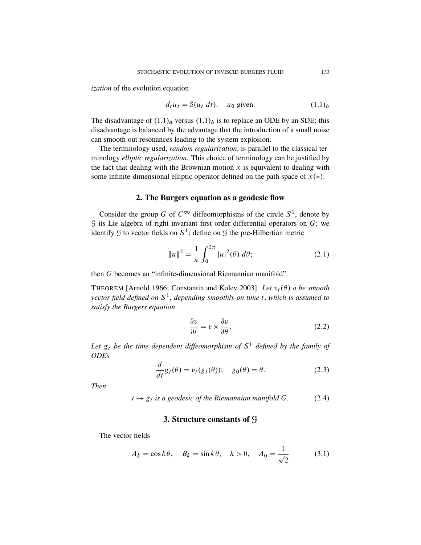*ization* of the evolution equation

$$
d_t u_t = \mathcal{S}(u_t \ dt), \quad u_0 \text{ given.} \tag{1.1}_b
$$

The disadvantage of  $(1.1)<sub>a</sub>$  versus  $(1.1)<sub>b</sub>$  is to replace an ODE by an SDE; this disadvantage is balanced by the advantage that the introduction of a small noise can smooth out resonances leading to the system explosion.

The terminology used, *random regularization*, is parallel to the classical terminology *elliptic regularization*. This choice of terminology can be justified by the fact that dealing with the Brownian motion  $x$  is equivalent to dealing with some infinite-dimensional elliptic operator defined on the path space of  $x(*)$ .

#### 2. The Burgers equation as a geodesic flow

Consider the group G of  $C^{\infty}$  diffeomorphisms of the circle  $S^1$ , denote by  $G$  its Lie algebra of right invariant first order differential operators on  $G$ ; we identify  $\mathfrak G$  to vector fields on  $S^1$ ; define on  $\mathfrak G$  the pre-Hilbertian metric

$$
||u||^2 = \frac{1}{\pi} \int_0^{2\pi} |u|^2(\theta) \, d\theta; \tag{2.1}
$$

then G becomes an "infinite-dimensional Riemannian manifold".

THEOREM [Arnold 1966; Constantin and Kolev 2003]. *Let*  $v_t(\theta)$  a be smooth *vector field defined on* S 1 , *depending smoothly on time* t, *which is assumed to satisfy the Burgers equation*

$$
\frac{\partial v}{\partial t} = v \times \frac{\partial v}{\partial \theta}.
$$
 (2.2)

Let  $g_t$  be the time dependent diffeomorphism of  $S^1$  defined by the family of *ODEs*

$$
\frac{d}{dt}g_t(\theta) = v_t(g_t(\theta)); \quad g_0(\theta) = \theta.
$$
\n(2.3)

*Then*

$$
t \mapsto g_t
$$
 is a geodesic of the Riemannian manifold G. (2.4)

## 3. Structure constants of G

The vector fields

$$
A_k = \cos k\theta, \quad B_k = \sin k\theta, \quad k > 0, \quad A_0 = \frac{1}{\sqrt{2}} \tag{3.1}
$$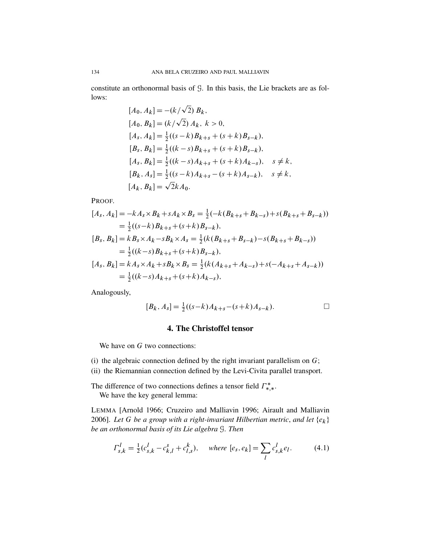constitute an orthonormal basis of G. In this basis, the Lie brackets are as follows:

$$
[A_0, A_k] = -(k/\sqrt{2}) B_k,
$$
  
\n
$$
[A_0, B_k] = (k/\sqrt{2}) A_k, k > 0,
$$
  
\n
$$
[A_s, A_k] = \frac{1}{2}((s-k)B_{k+s} + (s+k)B_{s-k}),
$$
  
\n
$$
[B_s, B_k] = \frac{1}{2}((k-s)B_{k+s} + (s+k)B_{s-k}),
$$
  
\n
$$
[A_s, B_k] = \frac{1}{2}((k-s)A_{k+s} + (s+k)A_{k-s}), s \neq k,
$$
  
\n
$$
[B_k, A_s] = \frac{1}{2}((s-k)A_{k+s} - (s+k)A_{s-k}), s \neq k,
$$
  
\n
$$
[A_k, B_k] = \sqrt{2}kA_0.
$$

PROOF.

$$
[A_s, A_k] = -kA_s \times B_k + sA_k \times B_s = \frac{1}{2}(-k(B_{k+s} + B_{k-s}) + s(B_{k+s} + B_{s-k}))
$$
  
\n
$$
= \frac{1}{2}((s-k)B_{k+s} + (s+k)B_{s-k}),
$$
  
\n
$$
[B_s, B_k] = kB_s \times A_k - sB_k \times A_s = \frac{1}{2}(k(B_{k+s} + B_{s-k}) - s(B_{k+s} + B_{k-s}))
$$
  
\n
$$
= \frac{1}{2}((k-s)B_{k+s} + (s+k)B_{s-k}),
$$
  
\n
$$
[A_s, B_k] = kA_s \times A_k + sB_k \times B_s = \frac{1}{2}(k(A_{k+s} + A_{k-s}) + s(-A_{k+s} + A_{s-k}))
$$
  
\n
$$
= \frac{1}{2}((k-s)A_{k+s} + (s+k)A_{k-s}),
$$

Analogously,

$$
[B_k, A_s] = \frac{1}{2}((s-k)A_{k+s} - (s+k)A_{s-k}).
$$

## 4. The Christoffel tensor

We have on  $G$  two connections:

- (i) the algebraic connection defined by the right invariant parallelism on  $G$ ;
- (ii) the Riemannian connection defined by the Levi-Civita parallel transport.

The difference of two connections defines a tensor field  $\Gamma^*_{*,*}$ . We have the key general lemma:

LEMMA [Arnold 1966; Cruzeiro and Malliavin 1996; Airault and Malliavin 2006]. Let G be a group with a right-invariant Hilbertian metric, and let  $\{e_k\}$ be an orthonormal basis of its Lie algebra S. Then

$$
\Gamma_{s,k}^l = \frac{1}{2} (c_{s,k}^l - c_{k,l}^s + c_{l,s}^k), \quad \text{where } [e_s, e_k] = \sum_l c_{s,k}^l e_l. \tag{4.1}
$$

134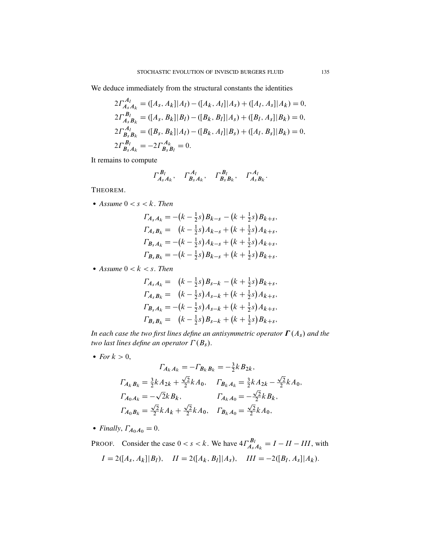We deduce immediately from the structural constants the identities

$$
2\Gamma_{A_s A_k}^{A_l} = ([A_s, A_k]|A_l) - ([A_k, A_l]|A_s) + ([A_l, A_s]|A_k) = 0,
$$
  
\n
$$
2\Gamma_{A_s B_k}^{B_l} = ([A_s, B_k]|B_l) - ([B_k, B_l]|A_s) + ([B_l, A_s]|B_k) = 0,
$$
  
\n
$$
2\Gamma_{B_s B_k}^{A_l} = ([B_s, B_k]|A_l) - ([B_k, A_l]|B_s) + ([A_l, B_s]|B_k) = 0,
$$
  
\n
$$
2\Gamma_{B_s A_k}^{B_l} = -2\Gamma_{B_s B_l}^{A_k} = 0.
$$

It remains to compute

$$
\Gamma_{A_s A_k}^{B_l}, \quad \Gamma_{B_s A_k}^{A_l}, \quad \Gamma_{B_s B_k}^{B_l}, \quad \Gamma_{A_s B_k}^{A_l}.
$$

THEOREM.

• Assume  $0 < s < k$ . Then

$$
\Gamma_{A_s A_k} = -(k - \frac{1}{2}s) B_{k-s} - (k + \frac{1}{2}s) B_{k+s},
$$
  
\n
$$
\Gamma_{A_s B_k} = (k - \frac{1}{2}s) A_{k-s} + (k + \frac{1}{2}s) A_{k+s},
$$
  
\n
$$
\Gamma_{B_s A_k} = -(k - \frac{1}{2}s) A_{k-s} + (k + \frac{1}{2}s) A_{k+s},
$$
  
\n
$$
\Gamma_{B_s B_k} = -(k - \frac{1}{2}s) B_{k-s} + (k + \frac{1}{2}s) B_{k+s}.
$$

• Assume  $0 < k < s$ . Then

$$
\Gamma_{A_s A_k} = (k - \frac{1}{2}s)B_{s-k} - (k + \frac{1}{2}s)B_{k+s},
$$
  
\n
$$
\Gamma_{A_s B_k} = (k - \frac{1}{2}s)A_{s-k} + (k + \frac{1}{2}s)A_{k+s},
$$
  
\n
$$
\Gamma_{B_s A_k} = -(k - \frac{1}{2}s)A_{s-k} + (k + \frac{1}{2}s)A_{k+s},
$$
  
\n
$$
\Gamma_{B_s B_k} = (k - \frac{1}{2}s)B_{s-k} + (k + \frac{1}{2}s)B_{k+s},
$$

*In each case the two first lines define an antisymmetric operator*  $\Gamma(A_s)$  *and the two last lines define an operator*  $\Gamma(B_s)$ .

• *For*  $k > 0$ ,

$$
\Gamma_{A_k A_k} = -\Gamma_{B_k B_k} = -\frac{3}{2} k B_{2k},
$$
\n
$$
\Gamma_{A_k B_k} = \frac{3}{2} k A_{2k} + \frac{\sqrt{2}}{2} k A_0, \quad \Gamma_{B_k A_k} = \frac{3}{2} k A_{2k} - \frac{\sqrt{2}}{2} k A_0,
$$
\n
$$
\Gamma_{A_0 A_k} = -\sqrt{2} k B_k, \quad \Gamma_{A_k A_0} = -\frac{\sqrt{2}}{2} k B_k,
$$
\n
$$
\Gamma_{A_0 B_k} = \frac{\sqrt{2}}{2} k A_k + \frac{\sqrt{2}}{2} k A_0, \quad \Gamma_{B_k A_0} = \frac{\sqrt{2}}{2} k A_0,
$$

• *Finally*,  $\Gamma_{A_0A_0} = 0$ .

PROOF. Consider the case  $0 < s < k$ . We have  $4\Gamma_{A_s}^{B_l}$  $\sum_{A_s A_k}^{B_l} = I - II - III$ , with  $I = 2([A<sub>s</sub>, A<sub>k</sub>]|B<sub>l</sub>),$   $II = 2([A<sub>k</sub>, B<sub>l</sub>]|A<sub>s</sub>),$   $III = -2([B<sub>l</sub>, A<sub>s</sub>]|A<sub>k</sub>).$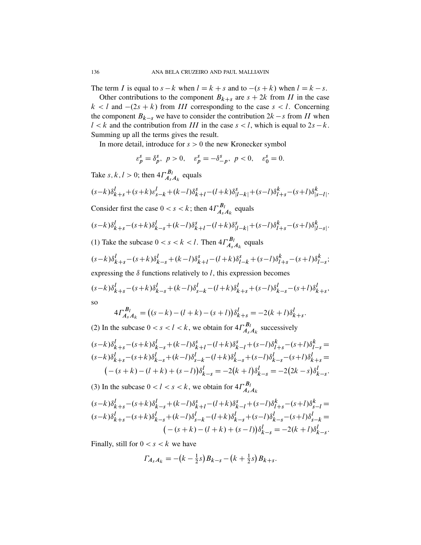The term I is equal to  $s - k$  when  $l = k + s$  and to  $-(s + k)$  when  $l = k - s$ .

Other contributions to the component  $B_{k+s}$  are  $s + 2k$  from II in the case  $k < l$  and  $-(2s + k)$  from III corresponding to the case  $s < l$ . Concerning the component  $B_{k-s}$  we have to consider the contribution  $2k - s$  from II when  $l < k$  and the contribution from III in the case  $s < l$ , which is equal to  $2s - k$ . Summing up all the terms gives the result.

In more detail, introduce for  $s > 0$  the new Kronecker symbol

$$
\varepsilon_p^s = \delta_p^s, \ p > 0, \quad \varepsilon_p^s = -\delta_{-p}^s, \ p < 0, \quad \varepsilon_0^s = 0.
$$

Take s, k, l > 0; then  $4\Gamma_{A_2}^{B_1}$  $A_s A_k$  equals

$$
(s-k)\delta_{k+s}^l + (s+k)\varepsilon_{s-k}^l + (k-l)\delta_{k+l}^s - (l+k)\delta_{|l-k|}^s + (s-l)\delta_{l+s}^k - (s+l)\delta_{|s-l|}^k.
$$

Consider first the case  $0 < s < k$ ; then  $4\Gamma_{A_s}^{B_l}$  $A_s A_k$  equals

$$
(s-k)\delta_{k+s}^l - (s+k)\delta_{k-s}^l + (k-l)\delta_{k+l}^s - (l+k)\delta_{|l-k|}^s + (s-l)\delta_{l+s}^k - (s+l)\delta_{|l-s|}^k.
$$

(1) Take the subcase  $0 < s < k < l$ . Then  $4\Gamma_{A_s}^{B_l}$  $\prod_{A_s A_k}^{B_l}$  equals

$$
(s-k)\delta_{k+s}^l - (s+k)\delta_{k-s}^l + (k-l)\delta_{k+l}^s - (l+k)\delta_{l-k}^s + (s-l)\delta_{l+s}^k - (s+l)\delta_{l-s}^k;
$$

expressing the  $\delta$  functions relatively to l, this expression becomes

$$
(s-k)\delta_{k+s}^l - (s+k)\delta_{k-s}^l + (k-l)\delta_{s-k}^l - (l+k)\delta_{k+s}^l + (s-l)\delta_{k-s}^l - (s+l)\delta_{k+s}^l,
$$

so

$$
4\Gamma_{A_s A_k}^{B_l} = ((s-k) - (l+k) - (s+l))\delta_{k+s}^l = -2(k+l)\delta_{k+s}^l.
$$

(2) In the subcase  $0 < s < l < k$ , we obtain for  $4\Gamma_{A_s}^{B_l}$  $\sum_{A_s A_k}^{B_l}$  successively

$$
(s-k)\delta_{k+s}^{l} - (s+k)\delta_{k-s}^{l} + (k-l)\delta_{k+l}^{s} - (l+k)\delta_{k-l}^{s} + (s-l)\delta_{l+s}^{k} - (s+l)\delta_{l-s}^{k} = (s-k)\delta_{k+s}^{l} - (s+k)\delta_{k-s}^{l} + (k-l)\delta_{s-k}^{l} - (l+k)\delta_{k-s}^{l} + (s-l)\delta_{k-s}^{l} - (s+l)\delta_{k+s}^{l} = (s+k) - (l+k) + (s-l)\delta_{k-s}^{l} = -2(k+l)\delta_{k-s}^{l} = -2(2k-s)\delta_{k-s}^{l}.
$$

(3) In the subcase  $0 < l < s < k$ , we obtain for  $4\Gamma_{A_s}^{B_l}$  $A_sA_k$ 

$$
(s-k)\delta_{k+s}^{l} - (s+k)\delta_{k-s}^{l} + (k-l)\delta_{k+l}^{s} - (l+k)\delta_{k-l}^{s} + (s-l)\delta_{l+s}^{k} - (s+l)\delta_{s-l}^{k} =
$$
  
\n
$$
(s-k)\delta_{k+s}^{l} - (s+k)\delta_{k-s}^{l} + (k-l)\delta_{s-k}^{l} - (l+k)\delta_{k-s}^{l} + (s-l)\delta_{k-s}^{l} - (s+l)\delta_{s-k}^{l} =
$$
  
\n
$$
(- (s+k) - (l+k) + (s-l))\delta_{k-s}^{l} = -2(k+l)\delta_{k-s}^{l}.
$$

Finally, still for  $0 < s < k$  we have

$$
\Gamma_{A_s A_k} = -(k - \frac{1}{2}s)B_{k-s} - (k + \frac{1}{2}s)B_{k+s}.
$$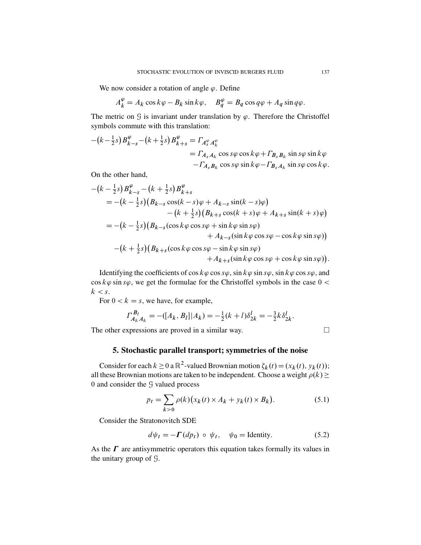We now consider a rotation of angle  $\varphi$ . Define

$$
A_k^{\varphi} = A_k \cos k\varphi - B_k \sin k\varphi, \quad B_q^{\varphi} = B_q \cos q\varphi + A_q \sin q\varphi.
$$

The metric on  $\mathcal G$  is invariant under translation by  $\varphi$ . Therefore the Christoffel symbols commute with this translation:

$$
-(k-\frac{1}{2}s)B_{k-s}^{\varphi}-(k+\frac{1}{2}s)B_{k+s}^{\varphi} = \Gamma_{A_{s}^{\varphi}A_{k}^{\varphi}}
$$
  
=  $\Gamma_{A_{s}A_{k}}\cos s\varphi\cos k\varphi+\Gamma_{B_{s}B_{k}}\sin s\varphi\sin k\varphi$   
-  $\Gamma_{A_{s}B_{k}}\cos s\varphi\sin k\varphi-\Gamma_{B_{s}A_{k}}\sin s\varphi\cos k\varphi$ .

On the other hand,

$$
-(k - \frac{1}{2}s)B_{k-s}^{\varphi} - (k + \frac{1}{2}s)B_{k+s}^{\varphi}
$$
  
= -(k - \frac{1}{2}s)(B\_{k-s}\cos(k - s)\varphi + A\_{k-s}\sin(k - s)\varphi)  
-(k + \frac{1}{2}s)(B\_{k+s}\cos(k + s)\varphi + A\_{k+s}\sin(k + s)\varphi)  
= -(k - \frac{1}{2}s)(B\_{k-s}(\cos k\varphi\cos s\varphi + \sin k\varphi\sin s\varphi)  
+ A\_{k-s}(\sin k\varphi\cos s\varphi - \cos k\varphi\sin s\varphi))  
-(k + \frac{1}{2}s)(B\_{k+s}(\cos k\varphi\cos s\varphi - \sin k\varphi\sin s\varphi)  
+ A\_{k+s}(\sin k\varphi\cos s\varphi + \cos k\varphi\sin s\varphi)).

Identifying the coefficients of cos  $k\varphi$  cos s $\varphi$ , sin  $k\varphi$  sin s $\varphi$ , sin  $k\varphi$  cos s $\varphi$ , and  $\cos k\varphi \sin s\varphi$ , we get the formulae for the Christoffel symbols in the case  $0 <$  $k < s$ .

For  $0 < k = s$ , we have, for example,

$$
\Gamma_{A_k A_k}^{B_l} = -([A_k, B_l]|A_k) = -\frac{1}{2}(k+l)\delta_{2k}^l = -\frac{3}{2}k\delta_{2k}^l.
$$

The other expressions are proved in a similar way.

$$
\Box
$$

#### 5. Stochastic parallel transport; symmetries of the noise

Consider for each  $k \ge 0$  a  $\mathbb{R}^2$ -valued Brownian motion  $\zeta_k(t) = (x_k(t), y_k(t));$ all these Brownian motions are taken to be independent. Choose a weight  $\rho(k)$   $\geq$ 0 and consider the G valued process

$$
p_t = \sum_{k>0} \rho(k) \big( x_k(t) \times A_k + y_k(t) \times B_k \big). \tag{5.1}
$$

Consider the Stratonovitch SDE

$$
d\psi_t = -\mathbf{\Gamma}(dp_t) \circ \psi_t, \quad \psi_0 = \text{Identity.} \tag{5.2}
$$

As the  $\Gamma$  are antisymmetric operators this equation takes formally its values in the unitary group of G.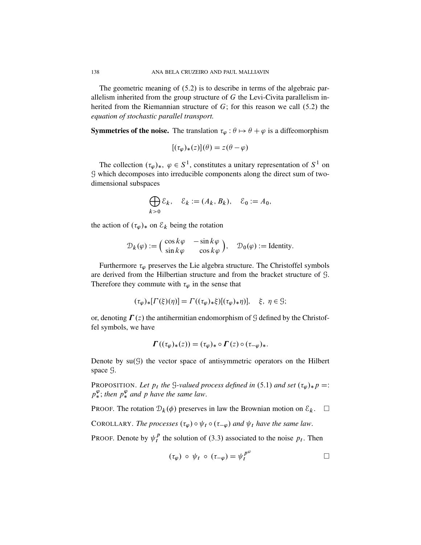The geometric meaning of  $(5.2)$  is to describe in terms of the algebraic parallelism inherited from the group structure of  $G$  the Levi-Civita parallelism inherited from the Riemannian structure of  $G$ ; for this reason we call  $(5.2)$  the *equation of stochastic parallel transport.*

**Symmetries of the noise.** The translation  $\tau_{\varphi}$  :  $\theta \mapsto \theta + \varphi$  is a diffeomorphism

$$
[(\tau_{\varphi})_*(z)](\theta) = z(\theta - \varphi)
$$

The collection  $(\tau_{\varphi})_*$ ,  $\varphi \in S^1$ , constitutes a unitary representation of  $S^1$  on G which decomposes into irreducible components along the direct sum of twodimensional subspaces

$$
\bigoplus_{k>0} \mathcal{E}_k, \quad \mathcal{E}_k := (A_k, B_k), \quad \mathcal{E}_0 := A_0,
$$

the action of  $(\tau_{\varphi})_*$  on  $\mathcal{E}_k$  being the rotation

$$
\mathcal{D}_k(\varphi) := \begin{pmatrix} \cos k\varphi & -\sin k\varphi \\ \sin k\varphi & \cos k\varphi \end{pmatrix}, \quad \mathcal{D}_0(\varphi) := \text{Identity}.
$$

Furthermore  $\tau_{\varphi}$  preserves the Lie algebra structure. The Christoffel symbols are derived from the Hilbertian structure and from the bracket structure of G. Therefore they commute with  $\tau_{\varphi}$  in the sense that

$$
(\tau_{\varphi})_*[ \Gamma(\xi)(\eta)] = \Gamma((\tau_{\varphi})_*\xi)[(\tau_{\varphi})_*\eta)], \quad \xi, \ \eta \in \mathcal{G};
$$

or, denoting  $\Gamma(z)$  the antihermitian endomorphism of G defined by the Christoffel symbols, we have

$$
\boldsymbol{\Gamma}((\tau_{\varphi})_*(z)) = (\tau_{\varphi})_* \circ \boldsymbol{\Gamma}(z) \circ (\tau_{-\varphi})_*.
$$

Denote by  $su(9)$  the vector space of antisymmetric operators on the Hilbert space G.

PROPOSITION. Let  $p_t$  the G-valued process defined in (5.1) and set  $(\tau_{\varphi})_* p =$ :  $p^{\varphi}_*$ ; then  $p^{\varphi}_*$  and p have the same law.

PROOF. The rotation  $D_k(\phi)$  preserves in law the Brownian motion on  $\mathcal{E}_k$ .  $\square$ 

COROLLARY. *The processes*  $(\tau_{\varphi}) \circ \psi_t \circ (\tau_{-\varphi})$  and  $\psi_t$  have the same law.

PROOF. Denote by  $\psi_t^p$  $t<sup>p</sup>$  the solution of (3.3) associated to the noise  $p<sub>t</sub>$ . Then

$$
(\tau_{\varphi}) \circ \psi_t \circ (\tau_{-\varphi}) = \psi_t^{p^{\varphi}}
$$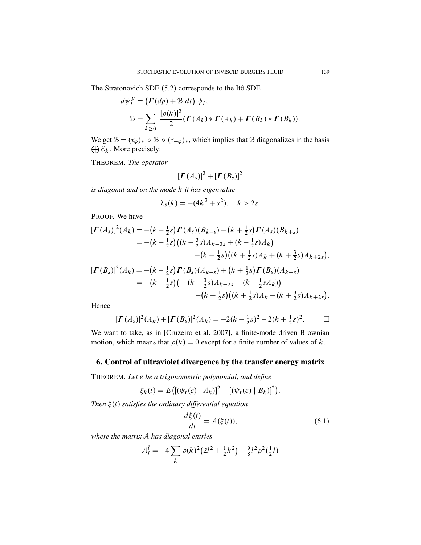The Stratonovich SDE (5.2) corresponds to the Itô SDE

$$
d\psi_t^P = (\Gamma(dp) + \mathcal{B} dt) \psi_t,
$$
  

$$
\mathcal{B} = \sum_{k \ge 0} \frac{[\rho(k)]^2}{2} (\Gamma(A_k) * \Gamma(A_k) + \Gamma(B_k) * \Gamma(B_k)).
$$

We get  $\mathcal{B} = (\tau_{\varphi})_* \circ \mathcal{B} \circ (\tau_{-\varphi})_*$ , which implies that  $\mathcal B$  diagonalizes in the basis  $\bigoplus \mathcal{E}_k$ . More precisely:

THEOREM. The operator

$$
[\boldsymbol{\Gamma}(A_s)]^2 + [\boldsymbol{\Gamma}(B_s)]^2
$$

is diagonal and on the mode k it has eigenvalue

$$
\lambda_s(k) = -(4k^2 + s^2), \quad k > 2s.
$$

PROOF. We have

$$
\begin{aligned} \left[\boldsymbol{\Gamma}(A_s)\right]^2 (A_k) &= -(k - \frac{1}{2}s) \boldsymbol{\Gamma}(A_s) (B_{k-s}) - (k + \frac{1}{2}s) \boldsymbol{\Gamma}(A_s) (B_{k+s}) \\ &= -(k - \frac{1}{2}s) \big( (k - \frac{3}{2}s) A_{k-2s} + (k - \frac{1}{2}s) A_k \big) \\ &- (k + \frac{1}{2}s) \big( (k + \frac{1}{2}s) A_k + (k + \frac{3}{2}s) A_{k+2s} \big), \end{aligned}
$$
\n
$$
\begin{aligned} \left[\boldsymbol{\Gamma}(B_s)\right]^2 (A_k) &= -(k - \frac{1}{2}s) \boldsymbol{\Gamma}(B_s) (A_{k-s}) + (k + \frac{1}{2}s) \boldsymbol{\Gamma}(B_s) (A_{k+s}) \\ &= -(k - \frac{1}{2}s) \big( -(k - \frac{3}{2}s) A_{k-2s} + (k - \frac{1}{2}s A_k) \big) \end{aligned}
$$

Hence

$$
[\boldsymbol{\Gamma}(A_s)]^2(A_k) + [\boldsymbol{\Gamma}(B_s)]^2(A_k) = -2(k - \frac{1}{2}s)^2 - 2(k + \frac{1}{2}s)^2.
$$

We want to take, as in [Cruzeiro et al. 2007], a finite-mode driven Brownian motion, which means that  $\rho(k) = 0$  except for a finite number of values of k.

## 6. Control of ultraviolet divergence by the transfer energy matrix

THEOREM. Let e be a trigonometric polynomial, and define

$$
\xi_k(t) = E\big( [(\psi_t(e) | A_k)]^2 + [(\psi_t(e) | B_k)]^2 \big).
$$

Then  $\xi(t)$  satisfies the ordinary differential equation

$$
\frac{d\xi(t)}{dt} = \mathcal{A}(\xi(t)),\tag{6.1}
$$

 $-(k+\frac{1}{2}s)((k+\frac{1}{2}s)A_k-(k+\frac{3}{2}s)A_{k+2s}).$ 

where the matrix A has diagonal entries

$$
A_l^l = -4 \sum_k \rho(k)^2 (2l^2 + \frac{1}{2}k^2) - \frac{9}{8}l^2 \rho^2(\frac{1}{2}l)
$$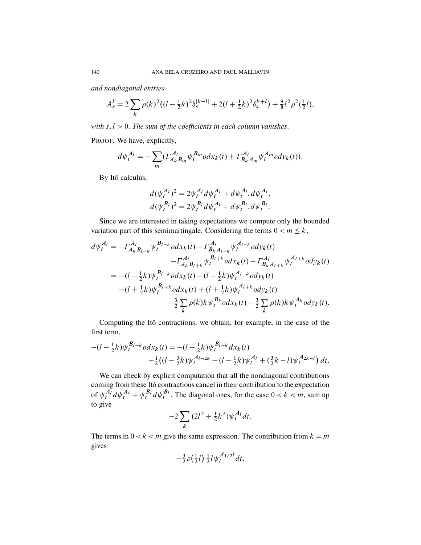*and nondiagonal entries*

$$
\mathcal{A}_{s}^{l} = 2 \sum_{k} \rho(k)^{2} \left( (l - \frac{1}{2}k)^{2} \delta_{s}^{|k-l|} + 2(l + \frac{1}{2}k)^{2} \delta_{s}^{k+l} \right) + \frac{9}{8} l^{2} \rho^{2} (\frac{1}{2}l),
$$

*with*  $s, l > 0$ . *The sum of the coefficients in each column vanishes.* 

PROOF. We have, explicitly,

$$
d\psi_t^{A_l} = -\sum_m (\Gamma_{A_k B_m}^{A_l} \psi_t^{B_m} o dx_k(t) + \Gamma_{B_k A_m}^{A_l} \psi_t^{A_m} o dy_k(t)).
$$

By Itô calculus,

$$
d(\psi_t^{A_l})^2 = 2\psi_t^{A_l} d\psi_t^{A_l} + d\psi_t^{A_l} d\psi_t^{A_l},
$$
  

$$
d(\psi_t^{B_l})^2 = 2\psi_t^{B_l} d\psi_t^{A_l} + d\psi_t^{B_l} d\psi_t^{B_l}.
$$

Since we are interested in taking expectations we compute only the bounded variation part of this semimartingale. Considering the terms  $0 < m \leq k$ ,

$$
d\psi_t^{A_l} = -\Gamma_{A_k B_{l-k}}^{A_l} \psi_t^{B_{l-k}} \omega dx_k(t) - \Gamma_{B_k A_{l-k}}^{A_l} \psi_t^{A_{l-k}} \omega dy_k(t)
$$
  
\n
$$
- \Gamma_{A_k B_{l+k}}^{A_l} \psi_t^{B_{l+k}} \omega dx_k(t) - \Gamma_{B_k A_{l+k}}^{A_l} \psi_t^{A_{l+k}} \omega dy_k(t)
$$
  
\n
$$
= -(l - \frac{1}{2}k) \psi_t^{B_{l-k}} \omega dx_k(t) - (l - \frac{1}{2}k) \psi_t^{A_{l-k}} \omega dy_k(t)
$$
  
\n
$$
- (l + \frac{1}{2}k) \psi_t^{B_{l+k}} \omega dx_k(t) + (l + \frac{1}{2}k) \psi_t^{A_{l+k}} \omega dy_k(t)
$$
  
\n
$$
- \frac{3}{2} \sum_k \rho(k) k \psi_t^{B_k} \omega dx_k(t) - \frac{3}{2} \sum_k \rho(k) k \psi_t^{A_k} \omega dy_k(t).
$$

Computing the Itô contractions, we obtain, for example, in the case of the first term,

$$
-(l - \frac{1}{2}k)\psi_t^{B_{l-k}} o dx_k(t) = -(l - \frac{1}{2}k)\psi_t^{B_{l-k}} dx_k(t)
$$
  

$$
-\frac{1}{2}((l - \frac{3}{2}k)\psi_t^{A_{l-2k}} - (l - \frac{1}{2}k)\psi_t^{A_l} + (\frac{3}{2}k - l)\psi_t^{A_{2k-l}}) dt.
$$

We can check by explicit computation that all the nondiagonal contributions coming from these Itô contractions cancel in their contribution to the expectation of  $\psi_t^{A_l} d\psi_t^{A_l} + \psi_t^{B_l} d\psi_t^{B_l}$ . The diagonal ones, for the case  $0 < k < m$ , sum up to give

$$
-2\sum_{k}(2l^2 + \frac{1}{2}k^2)\psi_t^{A_l}dt.
$$

The terms in  $0 < k < m$  give the same expression. The contribution from  $k = m$ gives

$$
-\frac{3}{2}\rho(\frac{1}{2}l)\frac{1}{2}l\psi_t^{A_{1/2}l}dt.
$$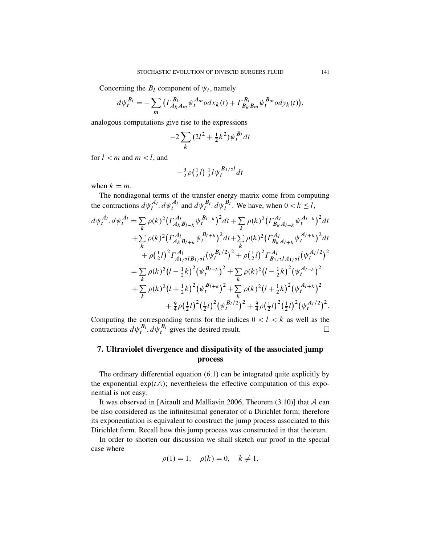Concerning the  $B_l$  component of  $\psi_t$ , namely

$$
d\psi_t^{B_l} = -\sum_m \left( \Gamma_{A_k A_m}^{B_l} \psi_t^{A_m} o dx_k(t) + \Gamma_{B_k B_m}^{B_l} \psi_t^{B_m} o dy_k(t) \right),
$$

analogous computations give rise to the expressions

$$
-2\sum_{k}(2l^{2}+\frac{1}{2}k^{2})\psi_{t}^{B_{l}}dt
$$

for  $l < m$  and  $m < l$ , and

$$
-\frac{3}{2}\rho(\frac{1}{2}l)\frac{1}{2}l\psi_t^{B_{1/2}l}dt
$$

when  $k = m$ .

The nondiagonal terms of the transfer energy matrix come from computing the contractions  $d\psi_t^{A_l}$ .  $d\psi_t^{A_l}$  and  $d\psi_t^{B_l}$ .  $d\psi_t^{B_l}$ . We have, when  $0 < k \leq l$ ,

$$
d\psi_t^{A_l} \cdot d\psi_t^{A_l} = \sum_k \rho(k)^2 \Big(\Gamma_{A_k B_{l-k}}^{A_l} \psi_t^{B_{l-k}}\Big)^2 dt + \sum_k \rho(k)^2 \Big(\Gamma_{B_k A_{l-k}}^{A_l} \psi_t^{A_{l-k}}\Big)^2 dt + \sum_k \rho(k)^2 \Big(\Gamma_{A_k B_{l+k}}^{A_l} \psi_t^{B_{l+k}}\Big)^2 dt + \sum_k \rho(k)^2 \Big(\Gamma_{B_k A_{l+k}}^{A_l} \psi_t^{A_{l+k}}\Big)^2 dt + \rho(\frac{1}{2}l)^2 \Gamma_{A_{1/2}l B_{1/2}l}^{A_l} \Big(\psi_t^{B_l/2}\Big)^2 + \rho(\frac{1}{2}l)^2 \Gamma_{B_{1/2}l A_{1/2}l}^{A_l} \Big(\psi_t^{A_l/2}\Big)^2 = \sum_k \rho(k)^2 \Big(l - \frac{1}{2}k\Big)^2 \Big(\psi_t^{B_{l-k}}\Big)^2 + \sum_k \rho(k)^2 \Big(l - \frac{1}{2}k\Big)^2 \Big(\psi_t^{A_{l-k}}\Big)^2 + \sum_k \rho(k)^2 \Big(l + \frac{1}{2}k\Big)^2 \Big(\psi_t^{B_{l+k}}\Big)^2 + \sum_k \rho(k)^2 \Big(l + \frac{1}{2}k\Big)^2 \Big(\psi_t^{A_{l+k}}\Big)^2 + \frac{9}{4} \rho(\frac{1}{2}l)^2 (\frac{1}{2}l)^2 \Big(\psi_t^{B_{l}/2}\Big)^2 + \frac{9}{4} \rho(\frac{1}{2}l)^2 (\frac{1}{2}l)^2 \Big(\psi_t^{A_l/2}\Big)^2.
$$

Computing the corresponding terms for the indices  $0 < l < k$  as well as the contractions  $d\psi_t^{B_l}$ .  $d\psi_t^{B_l}$  gives the desired result.

# 7. Ultraviolet divergence and dissipativity of the associated jump process

The ordinary differential equation  $(6.1)$  can be integrated quite explicitly by the exponential  $exp(tA)$ ; nevertheless the effective computation of this exponential is not easy.

It was observed in [Airault and Malliavin 2006, Theorem  $(3.10)$ ] that A can be also considered as the infinitesimal generator of a Dirichlet form; therefore its exponentiation is equivalent to construct the jump process associated to this Dirichlet form. Recall how this jump process was constructed in that theorem.

In order to shorten our discussion we shall sketch our proof in the special case where

$$
\rho(1) = 1, \quad \rho(k) = 0, \quad k \neq 1.
$$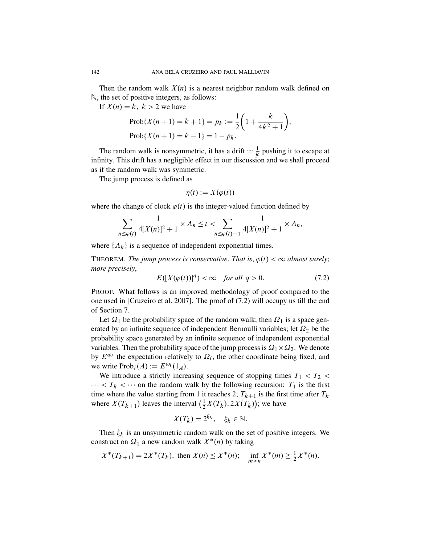Then the random walk  $X(n)$  is a nearest neighbor random walk defined on N, the set of positive integers, as follows:

If  $X(n) = k$ ,  $k > 2$  we have

$$
\text{Prob}\{X(n+1) = k+1\} = p_k := \frac{1}{2}\left(1 + \frac{k}{4k^2 + 1}\right),
$$
  

$$
\text{Prob}\{X(n+1) = k-1\} = 1 - p_k.
$$

The random walk is nonsymmetric, it has a drift  $\simeq \frac{1}{k}$  pushing it to escape at infinity. This drift has a negligible effect in our discussion and we shall proceed as if the random walk was symmetric.

The jump process is defined as

$$
\eta(t) := X(\varphi(t))
$$

where the change of clock  $\varphi(t)$  is the integer-valued function defined by

$$
\sum_{n \le \varphi(t)} \frac{1}{4[X(n)]^2 + 1} \times \Lambda_n \le t < \sum_{n \le \varphi(t) + 1} \frac{1}{4[X(n)]^2 + 1} \times \Lambda_n,
$$

where  $\{\Lambda_k\}$  is a sequence of independent exponential times.

THEOREM. *The jump process is conservative. That is,*  $\varphi(t) < \infty$  *almost surely*; *more precisely*,

$$
E([X(\varphi(t))]^q) < \infty \quad \text{for all } q > 0. \tag{7.2}
$$

PROOF. What follows is an improved methodology of proof compared to the one used in [Cruzeiro et al. 2007]. The proof of (7.2) will occupy us till the end of Section 7.

Let  $\Omega_1$  be the probability space of the random walk; then  $\Omega_1$  is a space generated by an infinite sequence of independent Bernoulli variables; let  $\Omega_2$  be the probability space generated by an infinite sequence of independent exponential variables. Then the probability space of the jump process is  $\Omega_1 \times \Omega_2$ . We denote by  $E^{\omega_i}$  the expectation relatively to  $\Omega_i$ , the other coordinate being fixed, and we write  $\text{Prob}_i(A) := E^{\omega_i}(1_A)$ .

We introduce a strictly increasing sequence of stopping times  $T_1 < T_2 <$  $\cdots < T_k < \cdots$  on the random walk by the following recursion:  $T_1$  is the first time where the value starting from 1 it reaches 2;  $T_{k+1}$  is the first time after  $T_k$ where  $X(T_{k+1})$  leaves the interval  $(\frac{1}{2}X(T_k), 2X(T_k))$ ; we have

$$
X(T_k) = 2^{\xi_k}, \quad \xi_k \in \mathbb{N}.
$$

Then  $\xi_k$  is an unsymmetric random walk on the set of positive integers. We construct on  $\Omega_1$  a new random walk  $X^*(n)$  by taking

$$
X^*(T_{k+1}) = 2X^*(T_k), \text{ then } X(n) \le X^*(n); \quad \inf_{m>n} X^*(m) \ge \frac{1}{2}X^*(n).
$$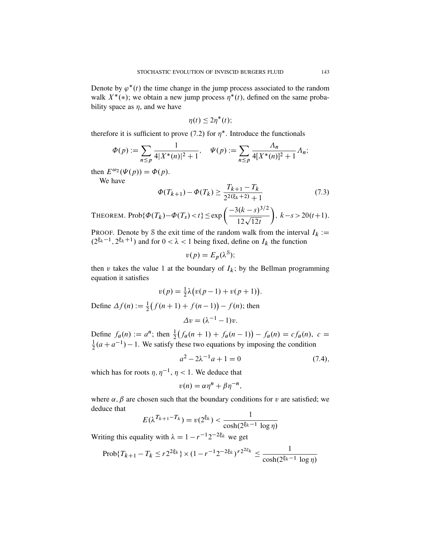Denote by  $\varphi^*(t)$  the time change in the jump process associated to the random walk  $X^*(*)$ ; we obtain a new jump process  $\overline{\eta^*}(t)$ , defined on the same probability space as  $\eta$ , and we have

$$
\eta(t) \leq 2\eta^*(t);
$$

therefore it is sufficient to prove (7.2) for  $\eta^*$ . Introduce the functionals

$$
\Phi(p) := \sum_{n \le p} \frac{1}{4|X^*(n)|^2 + 1}, \quad \Psi(p) := \sum_{n \le p} \frac{\Lambda_n}{4|X^*(n)|^2 + 1} \Lambda_n;
$$

then  $E^{\omega_2}(\Psi(p)) = \Phi(p)$ .

We have

$$
\Phi(T_{k+1}) - \Phi(T_k) \ge \frac{T_{k+1} - T_k}{2^{2(\xi_k + 2)} + 1} \tag{7.3}
$$

THEOREM. Prob{
$$
\Phi(T_k) - \Phi(T_s) < t
$$
}  $\leq \exp\left(\frac{-3(k-s)^{3/2}}{12\sqrt{12t}}\right), \quad k-s > 20(t+1).$ 

PROOF. Denote by S the exit time of the random walk from the interval  $I_k :=$  $(2^{\xi_k-1}, 2^{\xi_k+1})$  and for  $0 < \lambda < 1$  being fixed, define on  $I_k$  the function

$$
v(p) = E_p(\lambda^8);
$$

then v takes the value 1 at the boundary of  $I_k$ ; by the Bellman programming equation it satisfies

$$
v(p) = \frac{1}{2}\lambda \big( v(p-1) + v(p+1) \big).
$$

Define  $\Delta f(n) := \frac{1}{2} (f(n+1) + f(n-1)) - f(n)$ ; then

$$
\Delta v = (\lambda^{-1} - 1)v.
$$

Define  $f_a(n) := a^n$ ; then  $\frac{1}{2}(f_a(n+1) + f_a(n-1)) - f_a(n) = cf_a(n), c =$ 1  $\frac{1}{2}(a + a^{-1}) - 1$ . We satisfy these two equations by imposing the condition

$$
a^2 - 2\lambda^{-1}a + 1 = 0\tag{7.4}
$$

which has for roots  $\eta$ ,  $\eta^{-1}$ ,  $\eta$  < 1. We deduce that

$$
v(n) = \alpha \eta^n + \beta \eta^{-n},
$$

where  $\alpha$ ;  $\beta$  are chosen such that the boundary conditions for v are satisfied; we deduce that

$$
E(\lambda^{T_{k+1}-T_k}) = v(2^{\xi_k}) < \frac{1}{\cosh(2^{\xi_k-1} \log \eta)}
$$

Writing this equality with  $\lambda = 1 - r^{-1} 2^{-2\xi_k}$  we get

$$
\text{Prob}\{T_{k+1} - T_k \le r2^{2\xi_k}\} \times (1 - r^{-1}2^{-2\xi_k})^{r2^{2\xi_k}} \le \frac{1}{\cosh(2^{\xi_k - 1} \log \eta)}
$$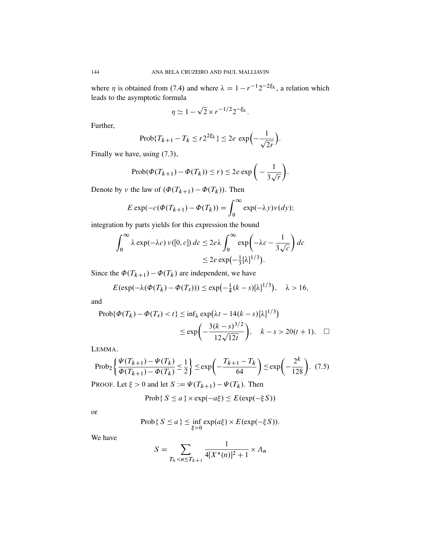where  $\eta$  is obtained from (7.4) and where  $\lambda = 1 - r^{-1}2^{-2\xi_k}$ , a relation which leads to the asymptotic formula

$$
\eta \simeq 1 - \sqrt{2} \times r^{-1/2} 2^{-\xi_k}.
$$

Further,

$$
\text{Prob}\{T_{k+1} - T_k \le r2^{2\xi_k}\} \le 2e \, \exp\left(-\frac{1}{\sqrt{2r}}\right).
$$

Finally we have, using (7.3),

$$
\operatorname{Prob}(\Phi(T_{k+1}) - \Phi(T_k)) \le r \le 2e \exp\bigg(-\frac{1}{3\sqrt{r}}\bigg).
$$

Denote by v the law of  $(\Phi(T_{k+1}) - \Phi(T_k))$ . Then

$$
E \exp(-c(\Phi(T_{k+1}) - \Phi(T_k))) = \int_0^\infty \exp(-\lambda y) \nu(dy);
$$

integration by parts yields for this expression the bound

$$
\int_0^\infty \lambda \exp(-\lambda c) \nu([0, c]) \, dc \le 2e\lambda \int_0^\infty \exp\left(-\lambda c - \frac{1}{3\sqrt{c}}\right) \, dc
$$
  

$$
\le 2e \exp\left(-\frac{1}{3}[\lambda]^{1/3}\right).
$$

Since the  $\Phi(T_{k+1}) - \Phi(T_k)$  are independent, we have

$$
E(\exp(-\lambda(\Phi(T_k)-\Phi(T_s)))\leq \exp(-\frac{1}{4}(k-s)[\lambda]^{1/3}), \quad \lambda > 16,
$$

and

Prob{
$$
Φ(T_k) - Φ(T_s) < t
$$
} ≤ inf<sub>λ</sub> exp(λt - 14(k - s)[λ]<sup>1/3</sup>)  
≤ exp $\left(-\frac{3(k - s)^{3/2}}{12\sqrt{12t}}\right)$ ,  $k - s > 20(t + 1)$ . □

LEMMA.

$$
\text{Prob}_2\left\{\frac{\Psi(T_{k+1}) - \Psi(T_k)}{\Phi(T_{k+1}) - \Phi(T_k)} \le \frac{1}{2}\right\} \le \exp\left(-\frac{T_{k+1} - T_k}{64}\right) \le \exp\left(-\frac{2^k}{128}\right). \tag{7.5}
$$

PROOF. Let  $\xi > 0$  and let  $S := \Psi(T_{k+1}) - \Psi(T_k)$ . Then

$$
Prob\{S \le a\} \times exp(-a\xi) \le E(exp(-\xi S))
$$

**or** 

$$
\text{Prob}\{S \le a\} \le \inf_{\xi > 0} \exp(a\xi) \times E(\exp(-\xi S)).
$$

We have

$$
S = \sum_{T_k < n \le T_{k+1}} \frac{1}{4[X^*(n)]^2 + 1} \times \Lambda_n
$$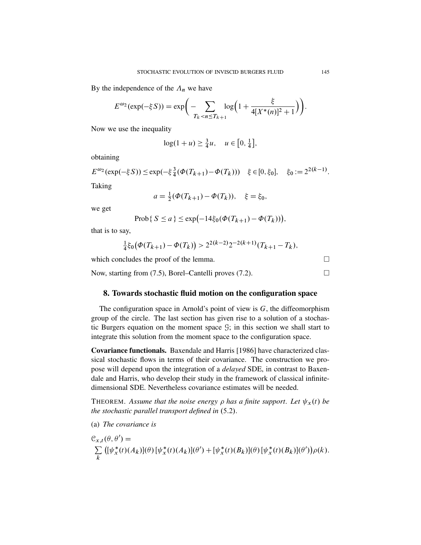By the independence of the  $\Lambda_n$  we have

$$
E^{\omega_2}(\exp(-\xi S)) = \exp\bigg(-\sum_{T_k < n \le T_{k+1}} \log\bigg(1 + \frac{\xi}{4[X^*(n)]^2 + 1}\bigg)\bigg).
$$

Now we use the inequality

$$
\log(1+u) \ge \frac{3}{4}u, \quad u \in [0, \frac{1}{4}],
$$

obtaining

$$
E^{\omega_2}(\exp(-\xi S)) \le \exp(-\xi \frac{3}{4}(\Phi(T_{k+1}) - \Phi(T_k))) \quad \xi \in [0, \xi_0], \quad \xi_0 := 2^{2(k-1)}.
$$

Taking

$$
a = \frac{1}{2}(\Phi(T_{k+1}) - \Phi(T_k)), \quad \xi = \xi_0,
$$

we get

$$
Prob\{S \le a\} \le exp(-14\xi_0(\Phi(T_{k+1}) - \Phi(T_k))),
$$

that is to say,

$$
\frac{1}{4}\xi_0(\Phi(T_{k+1}) - \Phi(T_k)) > 2^{2(k-2)}2^{-2(k+1)}(T_{k+1} - T_k),
$$

which concludes the proof of the lemma.  $\Box$ 

Now, starting from  $(7.5)$ , Borel–Cantelli proves  $(7.2)$ .

#### 8. Towards stochastic fluid motion on the configuration space

The configuration space in Arnold's point of view is  $G$ , the diffeomorphism group of the circle. The last section has given rise to a solution of a stochastic Burgers equation on the moment space G; in this section we shall start to integrate this solution from the moment space to the configuration space.

Covariance functionals. Baxendale and Harris [1986] have characterized classical stochastic flows in terms of their covariance. The construction we propose will depend upon the integration of a *delayed* SDE, in contrast to Baxendale and Harris, who develop their study in the framework of classical infinitedimensional SDE. Nevertheless covariance estimates will be needed.

THEOREM. Assume that the noise energy  $\rho$  has a finite support. Let  $\psi_x(t)$  be *the stochastic parallel transport defined in*  $(5.2)$ *.* 

(a) *The covariance is*

$$
\mathcal{C}_{x,t}(\theta,\theta') = \sum_{k} \left( [\psi_x^*(t)(A_k)](\theta) [\psi_x^*(t)(A_k)](\theta') + [\psi_x^*(t)(B_k)](\theta) [\psi_x^*(t)(B_k)](\theta') \right) \rho(k).
$$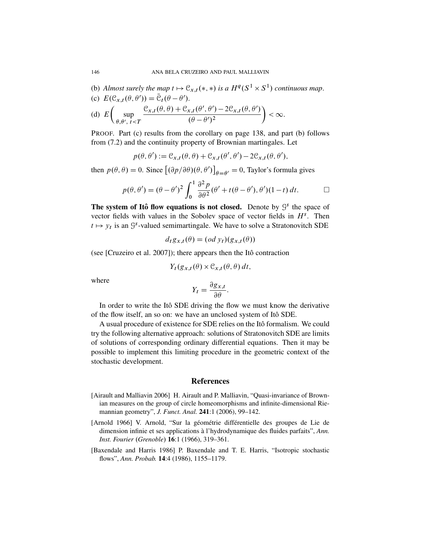- (b) Almost surely the map  $t \mapsto \mathfrak{C}_{x,t}(*,*)$  is a  $H^q(S^1 \times S^1)$  continuous map.
- (c)  $E(\mathcal{C}_{x,t}(\theta,\theta')) = \overline{\mathcal{C}}_t(\theta-\theta').$

(d) 
$$
E\left(\sup_{\theta,\theta',\ t\leq T} \frac{\mathcal{C}_{x,t}(\theta,\theta)+\mathcal{C}_{x,t}(\theta',\theta')-2\mathcal{C}_{x,t}(\theta,\theta')}{(\theta-\theta')^2}\right)<\infty.
$$

PROOF. Part (c) results from the corollary on page 138, and part (b) follows from (7.2) and the continuity property of Brownian martingales. Let

$$
p(\theta, \theta') := \mathcal{C}_{x,t}(\theta, \theta) + \mathcal{C}_{x,t}(\theta', \theta') - 2\mathcal{C}_{x,t}(\theta, \theta'),
$$

then  $p(\theta, \theta) = 0$ . Since  $[(\partial p/\partial \theta)(\theta, \theta')]_{\theta = \theta'} = 0$ , Taylor's formula gives

$$
p(\theta, \theta') = (\theta - \theta')^2 \int_0^1 \frac{\partial^2 p}{\partial \theta^2} (\theta' + t(\theta - \theta'), \theta')(1 - t) dt.
$$

The system of Itô flow equations is not closed. Denote by  $\mathcal{G}^s$  the space of vector fields with values in the Sobolev space of vector fields in  $H<sup>s</sup>$ . Then  $t \mapsto y_t$  is an  $\mathcal{G}^s$ -valued semimartingale. We have to solve a Stratonovitch SDE

$$
d_t g_{x,t}(\theta) = (od \, y_t)(g_{x,t}(\theta))
$$

(see [Cruzeiro et al. 2007]); there appears then the Itô contraction

$$
Y_t(g_{x,t}(\theta) \times \mathcal{C}_{x,t}(\theta,\theta) dt,
$$

where

$$
Y_t = \frac{\partial g_{x,t}}{\partial \theta}.
$$

In order to write the Itô SDE driving the flow we must know the derivative of the flow itself, an so on: we have an unclosed system of Ito SDE. ˆ

A usual procedure of existence for SDE relies on the Itô formalism. We could try the following alternative approach: solutions of Stratonovitch SDE are limits of solutions of corresponding ordinary differential equations. Then it may be possible to implement this limiting procedure in the geometric context of the stochastic development.

#### References

- [Airault and Malliavin 2006] H. Airault and P. Malliavin, "Quasi-invariance of Brownian measures on the group of circle homeomorphisms and infinite-dimensional Riemannian geometry", *J. Funct. Anal.* 241:1 (2006), 99–142.
- [Arnold 1966] V. Arnold, "Sur la géométrie différentielle des groupes de Lie de dimension infinie et ses applications à l'hydrodynamique des fluides parfaits", Ann. *Inst. Fourier* (*Grenoble*) **16**:1 (1966), 319–361.
- [Baxendale and Harris 1986] P. Baxendale and T. E. Harris, "Isotropic stochastic flows", *Ann. Probab.* 14:4 (1986), 1155–1179.